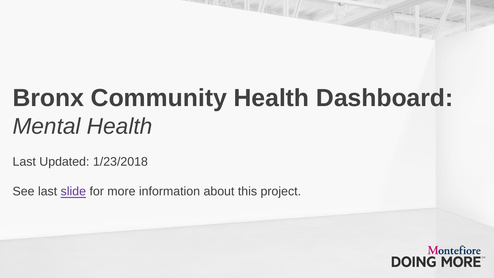## **Bronx Community Health Dashboard:**  *Mental Health*

Last Updated: 1/23/2018

See last [slide](#page-27-0) for more information about this project.

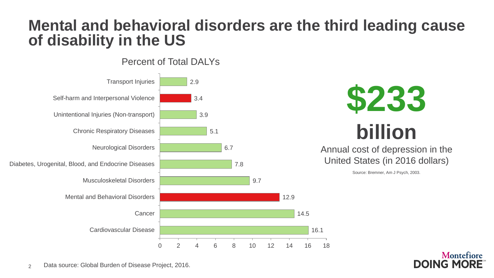## **Mental and behavioral disorders are the third leading cause of disability in the US**





Annual cost of depression in the United States (in 2016 dollars)

Source: Bremner, Am J Psych, 2003.

Montefiore

DOING MORE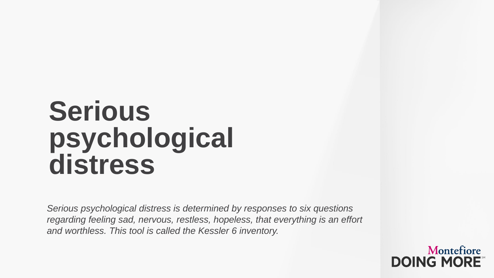## **Serious psychological distress**

*Serious psychological distress is determined by responses to six questions regarding feeling sad, nervous, restless, hopeless, that everything is an effort and worthless. This tool is called the Kessler 6 inventory.*

> Montefiore **DOING MORE**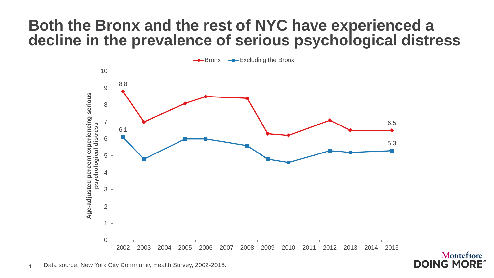## **Both the Bronx and the rest of NYC have experienced a decline in the prevalence of serious psychological distress**



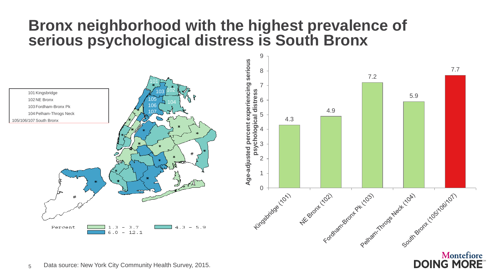## **Bronx neighborhood with the highest prevalence of serious psychological distress is South Bronx**



Montefiore

**DOING MORE** 

5 Data source: New York City Community Health Survey, 2015.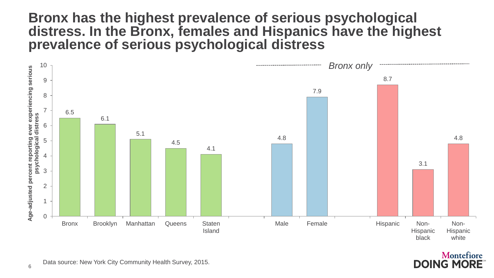### **Bronx has the highest prevalence of serious psychological distress. In the Bronx, females and Hispanics have the highest prevalence of serious psychological distress**



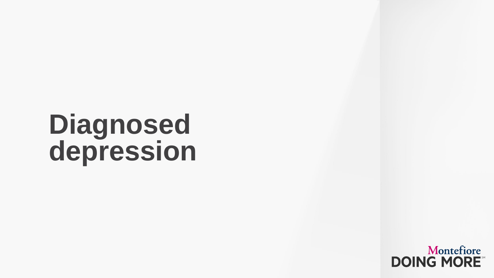## **Diagnosed depression**

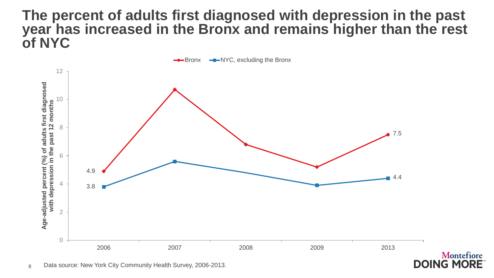### **The percent of adults first diagnosed with depression in the past year has increased in the Bronx and remains higher than the rest of NYC**

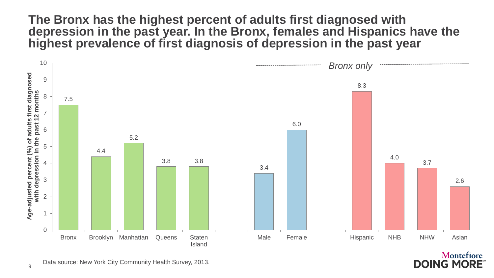#### **The Bronx has the highest percent of adults first diagnosed with depression in the past year. In the Bronx, females and Hispanics have the highest prevalence of first diagnosis of depression in the past year**



Montefiore **DOING MORE**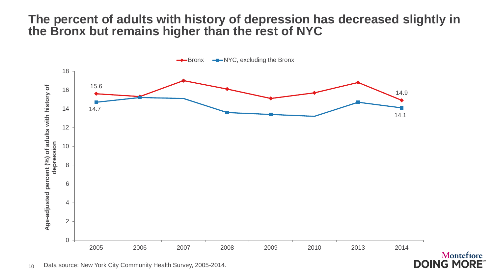#### **The percent of adults with history of depression has decreased slightly in the Bronx but remains higher than the rest of NYC**

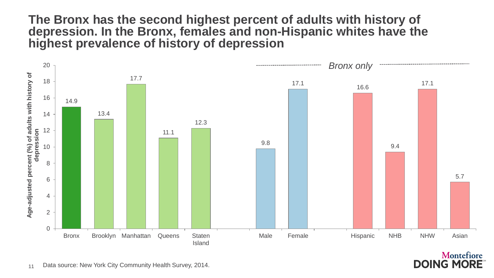#### **The Bronx has the second highest percent of adults with history of depression. In the Bronx, females and non-Hispanic whites have the highest prevalence of history of depression**



Montefiore **DOING MORE**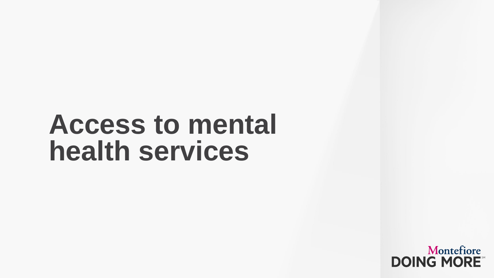## **Access to mental health services**

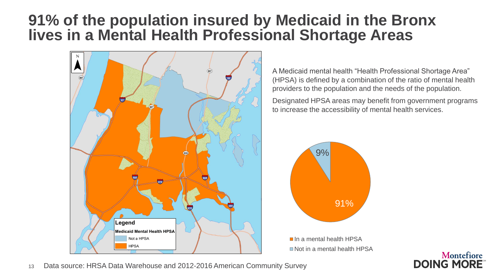## **91% of the population insured by Medicaid in the Bronx lives in a Mental Health Professional Shortage Areas**



A Medicaid mental health "Health Professional Shortage Area" (HPSA) is defined by a combination of the ratio of mental health providers to the population and the needs of the population.

Designated HPSA areas may benefit from government programs to increase the accessibility of mental health services.

Montefiore

**DOING MORE** 



In a mental health HPSA ■ Not in a mental health HPSA



13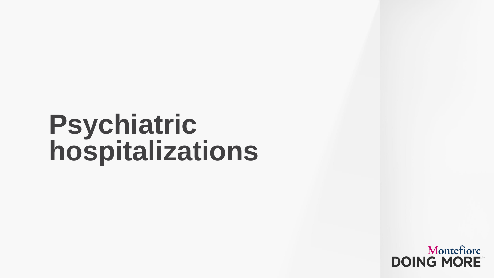## **Psychiatric hospitalizations**

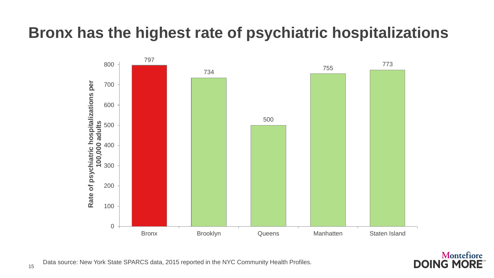## **Bronx has the highest rate of psychiatric hospitalizations**





Data source: New York State SPARCS data, 2015 reported in the NYC Community Health Profiles.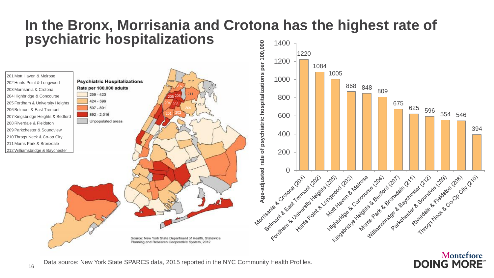#### **In the Bronx, Morrisania and Crotona has the highest rate of psychiatric hospitalizations**



**DOING MORE** 

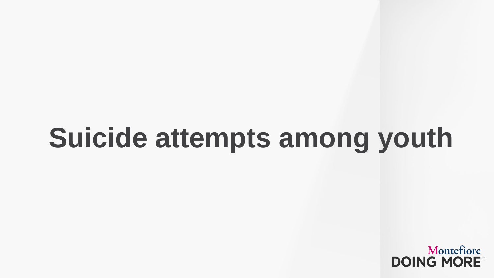# **Suicide attempts among youth**

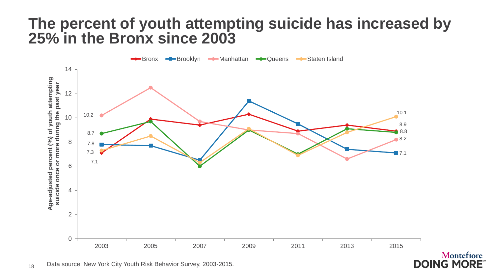## **The percent of youth attempting suicide has increased by 25% in the Bronx since 2003**



Montefiore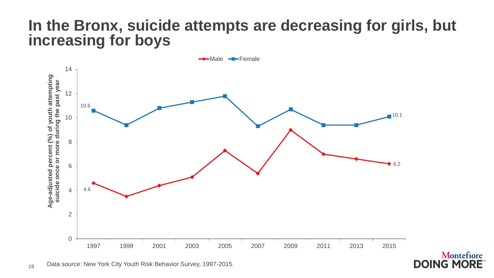## **In the Bronx, suicide attempts are decreasing for girls, but increasing for boys**



Montefiore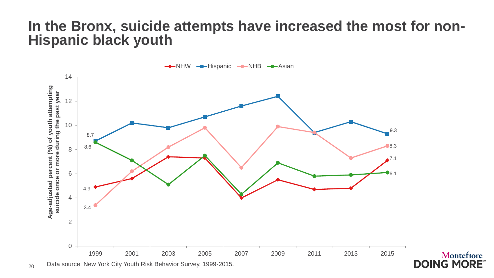### **In the Bronx, suicide attempts have increased the most for non-Hispanic black youth**



20 Data source: New York City Youth Risk Behavior Survey, 1999-2015.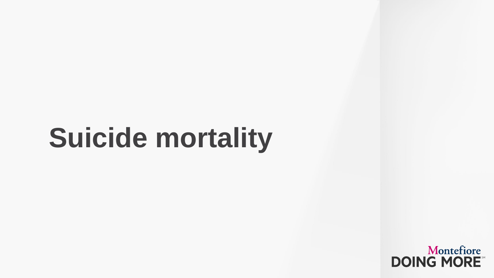# **Suicide mortality**

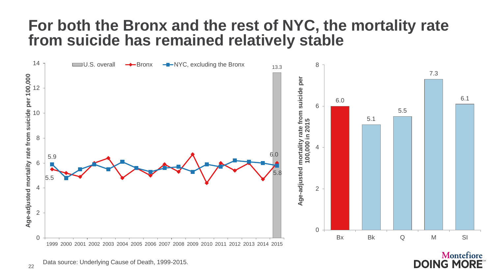## **For both the Bronx and the rest of NYC, the mortality rate from suicide has remained relatively stable**



Montefiore **DOING MORE**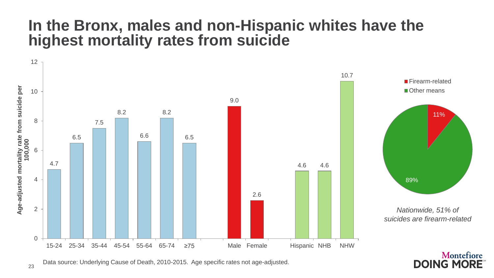## **In the Bronx, males and non-Hispanic whites have the highest mortality rates from suicide**



**DOING MORE** 

Data source: Underlying Cause of Death, 2010-2015. Age specific rates not age-adjusted.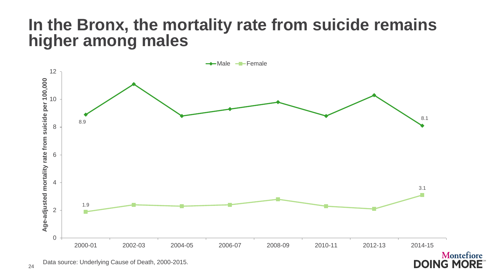## **In the Bronx, the mortality rate from suicide remains higher among males**



**DOING MORE**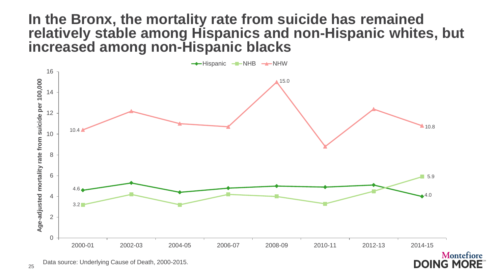### **In the Bronx, the mortality rate from suicide has remained relatively stable among Hispanics and non-Hispanic whites, but increased among non-Hispanic blacks**



**DOING MORE**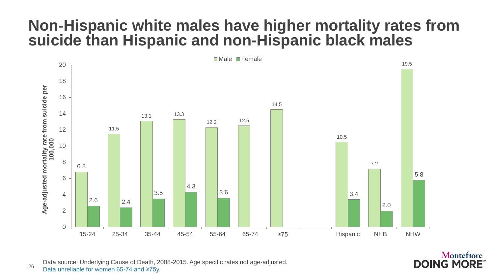## **Non-Hispanic white males have higher mortality rates from suicide than Hispanic and non-Hispanic black males**



26 Data source: Underlying Cause of Death, 2008-2015. Age specific rates not age-adjusted. Data unreliable for women 65-74 and ≥75y.

#### Montefiore **DOING MORE**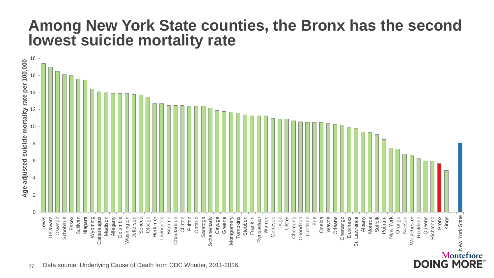## **Among New York State counties, the Bronx has the second lowest suicide mortality rate**